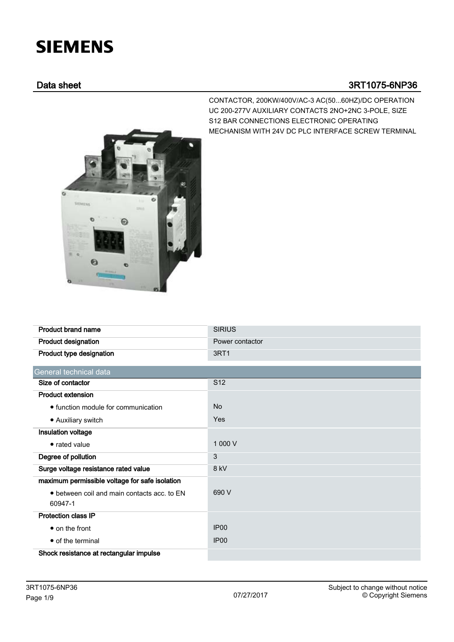# **SIEMENS**

### Data sheet 3RT1075-6NP36



CONTACTOR, 200KW/400V/AC-3 AC(50...60HZ)/DC OPERATION UC 200-277V AUXILIARY CONTACTS 2NO+2NC 3-POLE, SIZE S12 BAR CONNECTIONS ELECTRONIC OPERATING MECHANISM WITH 24V DC PLC INTERFACE SCREW TERMINAL

| <b>Product brand name</b>                      | <b>SIRIUS</b>    |
|------------------------------------------------|------------------|
| <b>Product designation</b>                     | Power contactor  |
| Product type designation                       | 3RT1             |
| General technical data                         |                  |
| Size of contactor                              | S <sub>12</sub>  |
| <b>Product extension</b>                       |                  |
| • function module for communication            | <b>No</b>        |
| • Auxiliary switch                             | Yes              |
| Insulation voltage                             |                  |
| • rated value                                  | 1 000 V          |
| Degree of pollution                            | 3                |
| Surge voltage resistance rated value           | 8 kV             |
| maximum permissible voltage for safe isolation |                  |
| • between coil and main contacts acc. to EN    | 690 V            |
| 60947-1                                        |                  |
| <b>Protection class IP</b>                     |                  |
| $\bullet$ on the front                         | IP <sub>00</sub> |
| • of the terminal                              | IP <sub>00</sub> |
| Shock resistance at rectangular impulse        |                  |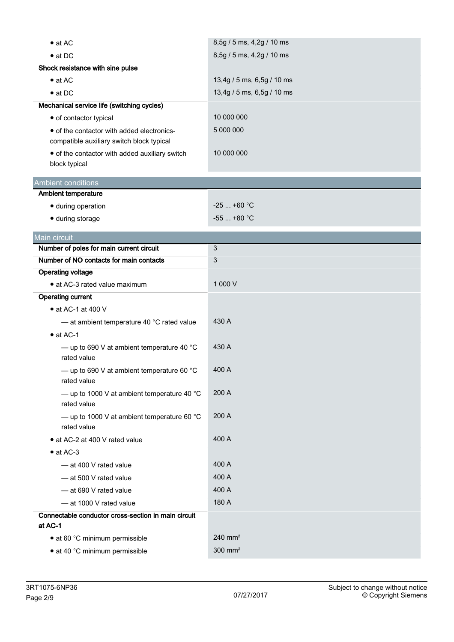| $\bullet$ at AC                                                                         | 8,5g / 5 ms, 4,2g / 10 ms  |  |
|-----------------------------------------------------------------------------------------|----------------------------|--|
| $\bullet$ at DC                                                                         | 8,5g / 5 ms, 4,2g / 10 ms  |  |
| Shock resistance with sine pulse                                                        |                            |  |
| $\bullet$ at AC                                                                         | 13,4g / 5 ms, 6,5g / 10 ms |  |
| $\bullet$ at DC                                                                         | 13,4g / 5 ms, 6,5g / 10 ms |  |
| Mechanical service life (switching cycles)                                              |                            |  |
| • of contactor typical                                                                  | 10 000 000                 |  |
| • of the contactor with added electronics-<br>compatible auxiliary switch block typical | 5 000 000                  |  |
| • of the contactor with added auxiliary switch<br>block typical                         | 10 000 000                 |  |
| <b>Ambient conditions</b>                                                               |                            |  |
| Ambient temperature                                                                     |                            |  |
| · during operation                                                                      | $-25$ +60 °C               |  |
| · during storage                                                                        | $-55$ +80 °C               |  |
| Main circuit                                                                            |                            |  |
| Number of poles for main current circuit                                                | 3                          |  |
| Number of NO contacts for main contacts                                                 | 3                          |  |
| <b>Operating voltage</b>                                                                |                            |  |
| • at AC-3 rated value maximum                                                           | 1 000 V                    |  |
| <b>Operating current</b>                                                                |                            |  |
| $\bullet$ at AC-1 at 400 V                                                              |                            |  |
| - at ambient temperature 40 °C rated value                                              | 430 A                      |  |
| $\bullet$ at AC-1                                                                       |                            |  |
| - up to 690 V at ambient temperature 40 $^{\circ}$ C<br>rated value                     | 430 A                      |  |
| — up to 690 V at ambient temperature 60 $^{\circ}$ C<br>rated value                     | 400 A                      |  |
| — up to 1000 V at ambient temperature 40 $^{\circ}$ C<br>rated value                    | 200 A                      |  |
| - up to 1000 V at ambient temperature 60 $^{\circ}$ C<br>rated value                    | 200 A                      |  |
| • at AC-2 at 400 V rated value                                                          | 400 A                      |  |
| $\bullet$ at AC-3                                                                       |                            |  |
| - at 400 V rated value                                                                  | 400 A                      |  |
| - at 500 V rated value                                                                  | 400 A                      |  |
| - at 690 V rated value                                                                  | 400 A                      |  |
| - at 1000 V rated value                                                                 | 180 A                      |  |
| Connectable conductor cross-section in main circuit                                     |                            |  |
| at AC-1                                                                                 |                            |  |
| • at 60 °C minimum permissible                                                          | $240$ mm <sup>2</sup>      |  |
| • at 40 °C minimum permissible                                                          | 300 mm <sup>2</sup>        |  |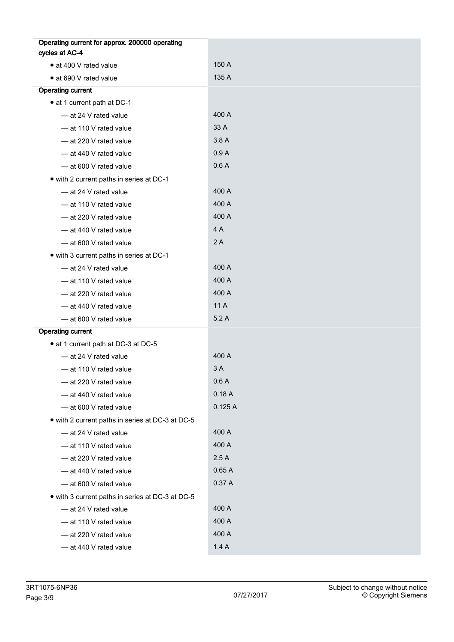| Operating current for approx. 200000 operating   |        |
|--------------------------------------------------|--------|
| cycles at AC-4                                   |        |
| • at 400 V rated value                           | 150 A  |
| • at 690 V rated value                           | 135 A  |
| <b>Operating current</b>                         |        |
| • at 1 current path at DC-1                      |        |
| - at 24 V rated value                            | 400 A  |
| - at 110 V rated value                           | 33 A   |
| - at 220 V rated value                           | 3.8A   |
| - at 440 V rated value                           | 0.9A   |
| -at 600 V rated value                            | 0.6A   |
| • with 2 current paths in series at DC-1         |        |
| - at 24 V rated value                            | 400 A  |
| - at 110 V rated value                           | 400 A  |
| - at 220 V rated value                           | 400 A  |
| - at 440 V rated value                           | 4A     |
| - at 600 V rated value                           | 2A     |
| • with 3 current paths in series at DC-1         |        |
| - at 24 V rated value                            | 400 A  |
| - at 110 V rated value                           | 400 A  |
| - at 220 V rated value                           | 400 A  |
| - at 440 V rated value                           | 11 A   |
| - at 600 V rated value                           | 5.2A   |
| <b>Operating current</b>                         |        |
| • at 1 current path at DC-3 at DC-5              |        |
| -at 24 V rated value                             | 400 A  |
| - at 110 V rated value                           | 3 A    |
| - at 220 V rated value                           | 0.6 A  |
| - at 440 V rated value                           | 0.18A  |
| - at 600 V rated value                           | 0.125A |
| • with 2 current paths in series at DC-3 at DC-5 |        |
| - at 24 V rated value                            | 400 A  |
| - at 110 V rated value                           | 400 A  |
| - at 220 V rated value                           | 2.5A   |
| - at 440 V rated value                           | 0.65A  |
| - at 600 V rated value                           | 0.37A  |
| • with 3 current paths in series at DC-3 at DC-5 |        |
| - at 24 V rated value                            | 400 A  |
| - at 110 V rated value                           | 400 A  |
| - at 220 V rated value                           | 400 A  |
| - at 440 V rated value                           | 1.4A   |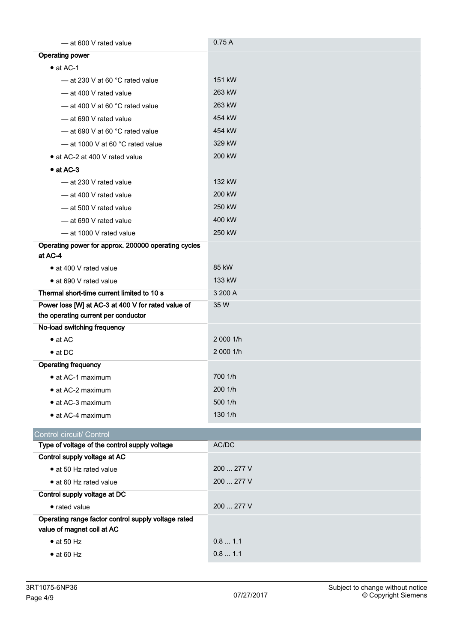| -at 600 V rated value                               | 0.75A      |
|-----------------------------------------------------|------------|
| <b>Operating power</b>                              |            |
| $\bullet$ at AC-1                                   |            |
| $-$ at 230 V at 60 °C rated value                   | 151 kW     |
| - at 400 V rated value                              | 263 kW     |
| $-$ at 400 V at 60 °C rated value                   | 263 kW     |
| -at 690 V rated value                               | 454 kW     |
| - at 690 V at 60 °C rated value                     | 454 kW     |
| $-$ at 1000 V at 60 °C rated value                  | 329 kW     |
| • at AC-2 at 400 V rated value                      | 200 kW     |
| $\bullet$ at AC-3                                   |            |
| — at 230 V rated value                              | 132 kW     |
| - at 400 V rated value                              | 200 kW     |
| -at 500 V rated value                               | 250 kW     |
| -at 690 V rated value                               | 400 kW     |
| - at 1000 V rated value                             | 250 kW     |
| Operating power for approx. 200000 operating cycles |            |
| at AC-4                                             |            |
| • at 400 V rated value                              | 85 kW      |
| • at 690 V rated value                              | 133 kW     |
| Thermal short-time current limited to 10 s          | 3 200 A    |
| Power loss [W] at AC-3 at 400 V for rated value of  | 35 W       |
| the operating current per conductor                 |            |
| No-load switching frequency                         |            |
| $\bullet$ at AC                                     | 2 000 1/h  |
| $\bullet$ at DC                                     | 2 000 1/h  |
| <b>Operating frequency</b>                          |            |
| • at AC-1 maximum                                   | 700 1/h    |
| • at AC-2 maximum                                   | 200 1/h    |
| • at AC-3 maximum                                   | 500 1/h    |
| • at AC-4 maximum                                   | 130 1/h    |
| Control circuit/ Control                            |            |
| Type of voltage of the control supply voltage       | AC/DC      |
| Control supply voltage at AC                        |            |
| • at 50 Hz rated value                              | 200  277 V |
| • at 60 Hz rated value                              | 200  277 V |
| Control supply voltage at DC                        |            |
| • rated value                                       | 200  277 V |
| Operating range factor control supply voltage rated |            |
| value of magnet coil at AC                          |            |
| $\bullet$ at 50 Hz                                  | 0.8 1.1    |
| $\bullet$ at 60 Hz                                  | 0.8 1.1    |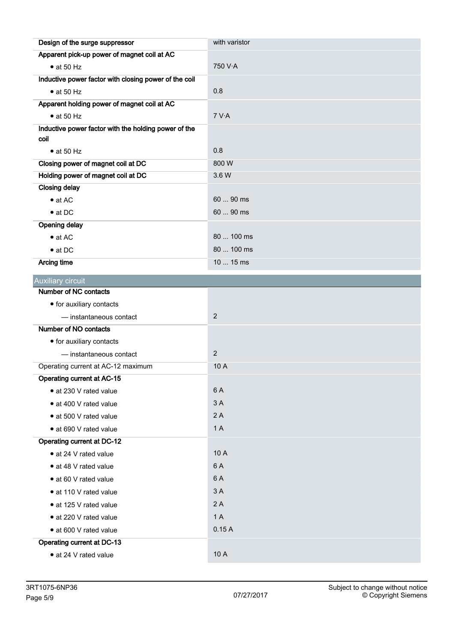| Design of the surge suppressor                        | with varistor  |
|-------------------------------------------------------|----------------|
| Apparent pick-up power of magnet coil at AC           |                |
| $\bullet$ at 50 Hz                                    | 750 V·A        |
| Inductive power factor with closing power of the coil |                |
| $\bullet$ at 50 Hz                                    | 0.8            |
| Apparent holding power of magnet coil at AC           |                |
| $\bullet$ at 50 Hz                                    | 7 V·A          |
| Inductive power factor with the holding power of the  |                |
| coil                                                  |                |
| $\bullet$ at 50 Hz                                    | 0.8            |
| Closing power of magnet coil at DC                    | 800W           |
| Holding power of magnet coil at DC                    | 3.6 W          |
| <b>Closing delay</b>                                  |                |
| $\bullet$ at AC                                       | 60  90 ms      |
| $\bullet$ at DC                                       | 60  90 ms      |
| <b>Opening delay</b>                                  |                |
| $\bullet$ at AC                                       | 80  100 ms     |
| $\bullet$ at DC                                       | 80  100 ms     |
| <b>Arcing time</b>                                    | 10  15 ms      |
| Auxiliary circuit                                     |                |
| Number of NC contacts                                 |                |
| • for auxiliary contacts                              |                |
| - instantaneous contact                               | $\overline{2}$ |
| Number of NO contacts                                 |                |
| • for auxiliary contacts                              |                |
| - instantaneous contact                               | 2              |
| Operating current at AC-12 maximum                    | 10A            |
| Operating current at AC-15                            |                |
| • at 230 V rated value                                | 6 A            |
| • at 400 V rated value                                | 3A             |
| · at 500 V rated value                                | 2A             |
| · at 690 V rated value                                | 1A             |
| <b>Operating current at DC-12</b>                     |                |
| • at 24 V rated value                                 | 10 A           |
| • at 48 V rated value                                 | 6 A            |
| • at 60 V rated value                                 | 6 A            |
| · at 110 V rated value                                | 3A             |
| · at 125 V rated value                                | 2A             |
| · at 220 V rated value                                | 1A             |
| · at 600 V rated value                                | 0.15A          |
| Operating current at DC-13                            |                |
| • at 24 V rated value                                 | 10 A           |
|                                                       |                |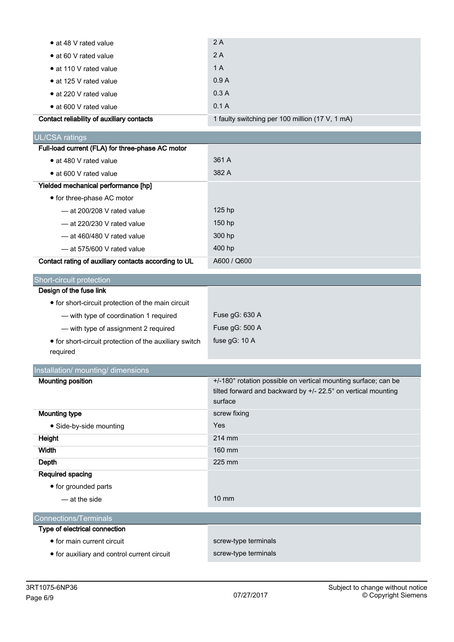| Contact reliability of auxiliary contacts | 1 faulty switching per 100 million (17 V, 1 mA) |
|-------------------------------------------|-------------------------------------------------|
| • at 600 V rated value                    | 0.1A                                            |
| • at 220 V rated value                    | 0.3A                                            |
| • at 125 V rated value                    | 0.9A                                            |
| • at 110 V rated value                    | 1 A                                             |
| • at 60 V rated value                     | 2A                                              |
| • at 48 V rated value                     | 2A                                              |
|                                           |                                                 |

| UL/CSA ratings                                       |             |
|------------------------------------------------------|-------------|
| Full-load current (FLA) for three-phase AC motor     |             |
| • at 480 V rated value                               | 361 A       |
| • at 600 V rated value                               | 382 A       |
| Yielded mechanical performance [hp]                  |             |
| • for three-phase AC motor                           |             |
| $-$ at 200/208 V rated value                         | $125$ hp    |
| $-$ at 220/230 V rated value                         | $150$ hp    |
| $-$ at 460/480 V rated value                         | 300 hp      |
| $-$ at 575/600 V rated value                         | 400 hp      |
| Contact rating of auxiliary contacts according to UL | A600 / Q600 |

| Short-circuit protection, |  |
|---------------------------|--|
| Design of the fuse link   |  |

| • for short-circuit protection of the main circuit     |                  |
|--------------------------------------------------------|------------------|
| - with type of coordination 1 required                 | Fuse $gG: 630 A$ |
| - with type of assignment 2 required                   | Fuse $qG: 500 A$ |
| • for short-circuit protection of the auxiliary switch | fuse $gG: 10 A$  |
| required                                               |                  |

| Installation/ mounting/ dimensions |                                                                |  |  |
|------------------------------------|----------------------------------------------------------------|--|--|
| <b>Mounting position</b>           | +/-180° rotation possible on vertical mounting surface; can be |  |  |
|                                    | tilted forward and backward by +/- 22.5° on vertical mounting  |  |  |
|                                    | surface                                                        |  |  |
| Mounting type                      | screw fixing                                                   |  |  |
| • Side-by-side mounting            | <b>Yes</b>                                                     |  |  |
| Height                             | 214 mm                                                         |  |  |
| Width                              | 160 mm                                                         |  |  |
| Depth                              | 225 mm                                                         |  |  |
| Required spacing                   |                                                                |  |  |
| • for grounded parts               |                                                                |  |  |
| — at the side                      | $10 \text{ mm}$                                                |  |  |

## Connections/Terminals

| Type of electrical connection               |                      |
|---------------------------------------------|----------------------|
| • for main current circuit                  | screw-type terminals |
| • for auxiliary and control current circuit | screw-type terminals |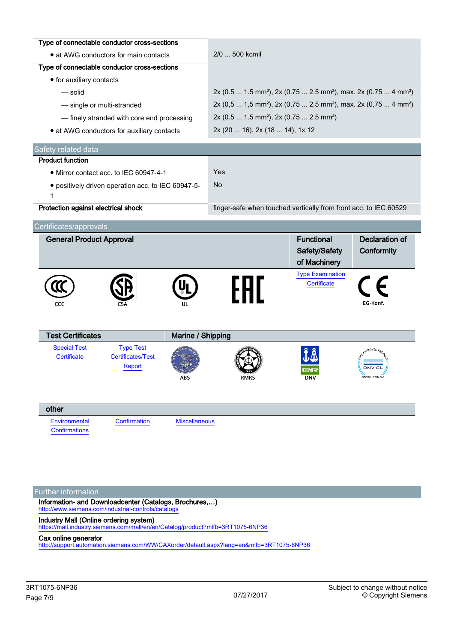| Type of connectable conductor cross-sections |                                                               |                      |                                                                                                     |                                                    |                                               |  |
|----------------------------------------------|---------------------------------------------------------------|----------------------|-----------------------------------------------------------------------------------------------------|----------------------------------------------------|-----------------------------------------------|--|
| • at AWG conductors for main contacts        |                                                               |                      | 2/0  500 kcmil                                                                                      |                                                    |                                               |  |
| Type of connectable conductor cross-sections |                                                               |                      |                                                                                                     |                                                    |                                               |  |
| • for auxiliary contacts                     |                                                               |                      |                                                                                                     |                                                    |                                               |  |
| $-$ solid                                    |                                                               |                      | 2x (0.5  1.5 mm <sup>2</sup> ), 2x (0.75  2.5 mm <sup>2</sup> ), max. 2x (0.75  4 mm <sup>2</sup> ) |                                                    |                                               |  |
|                                              | - single or multi-stranded                                    |                      | 2x (0,5  1,5 mm <sup>2</sup> ), 2x (0,75  2,5 mm <sup>2</sup> ), max. 2x (0,75  4 mm <sup>2</sup> ) |                                                    |                                               |  |
|                                              | - finely stranded with core end processing                    |                      | 2x (0.5  1.5 mm <sup>2</sup> ), 2x (0.75  2.5 mm <sup>2</sup> )                                     |                                                    |                                               |  |
|                                              | • at AWG conductors for auxiliary contacts                    |                      |                                                                                                     | 2x (20  16), 2x (18  14), 1x 12                    |                                               |  |
| Safety related data                          |                                                               |                      |                                                                                                     |                                                    |                                               |  |
| <b>Product function</b>                      |                                                               |                      |                                                                                                     |                                                    |                                               |  |
|                                              | • Mirror contact acc. to IEC 60947-4-1                        |                      | Yes                                                                                                 |                                                    |                                               |  |
| 1                                            | · positively driven operation acc. to IEC 60947-5-            |                      | <b>No</b>                                                                                           |                                                    |                                               |  |
| Protection against electrical shock          |                                                               |                      | finger-safe when touched vertically from front acc. to IEC 60529                                    |                                                    |                                               |  |
| Certificates/approvals                       |                                                               |                      |                                                                                                     |                                                    |                                               |  |
| <b>General Product Approval</b>              |                                                               |                      |                                                                                                     | <b>Functional</b><br>Safety/Safety<br>of Machinery | <b>Declaration of</b><br>Conformity           |  |
| CCC                                          |                                                               |                      | FAT                                                                                                 | <b>Type Examination</b><br>Certificate             | EG-Konf.                                      |  |
| <b>Test Certificates</b>                     |                                                               | Marine / Shipping    |                                                                                                     |                                                    |                                               |  |
| <b>Special Test</b><br>Certificate           | <b>Type Test</b><br><b>Certificates/Test</b><br><b>Report</b> | ABS                  | <b>RMRS</b>                                                                                         | <b>DNV</b>                                         | <b>QROVED</b><br><b>DNV·G</b><br>DNVGL.COM/AF |  |
| other                                        |                                                               |                      |                                                                                                     |                                                    |                                               |  |
| Environmental<br>Confirmations               | Confirmation                                                  | <b>Miscellaneous</b> |                                                                                                     |                                                    |                                               |  |
|                                              |                                                               |                      |                                                                                                     |                                                    |                                               |  |

#### Further information

Information- and Downloadcenter (Catalogs, Brochures,…) <http://www.siemens.com/industrial-controls/catalogs>

#### Industry Mall (Online ordering system)

<https://mall.industry.siemens.com/mall/en/en/Catalog/product?mlfb=3RT1075-6NP36>

#### Cax online generator

<http://support.automation.siemens.com/WW/CAXorder/default.aspx?lang=en&mlfb=3RT1075-6NP36>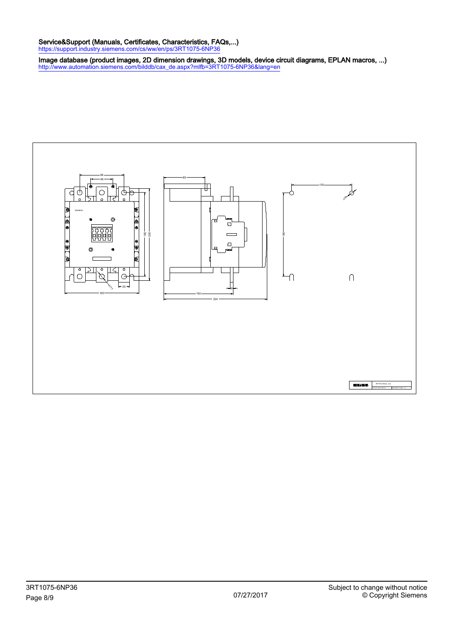#### Service&Support (Manuals, Certificates, Characteristics, FAQs,...)

<https://support.industry.siemens.com/cs/ww/en/ps/3RT1075-6NP36>

Image database (product images, 2D dimension drawings, 3D models, device circuit diagrams, EPLAN macros, ...) [http://www.automation.siemens.com/bilddb/cax\\_de.aspx?mlfb=3RT1075-6NP36&lang=en](http://www.automation.siemens.com/bilddb/cax_de.aspx?mlfb=3RT1075-6NP36&lang=en)